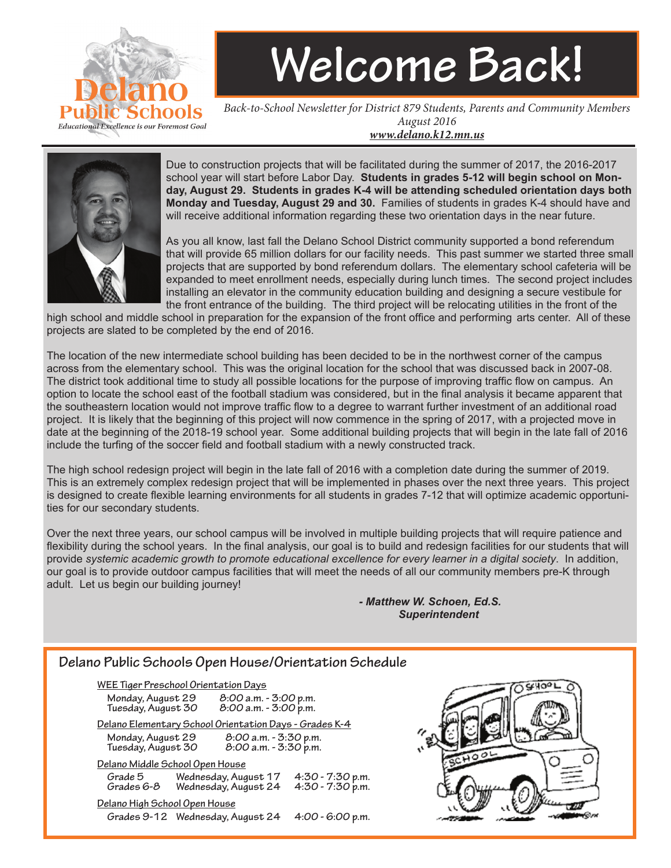

## **Welcome Back!**

*Back-to-School Newsletter for District 879 Students, Parents and Community Members August 2016 www.delano.k12.mn.us*



Due to construction projects that will be facilitated during the summer of 2017, the 2016-2017 school year will start before Labor Day. **Students in grades 5-12 will begin school on Monday, August 29. Students in grades K-4 will be attending scheduled orientation days both Monday and Tuesday, August 29 and 30.** Families of students in grades K-4 should have and will receive additional information regarding these two orientation days in the near future.

As you all know, last fall the Delano School District community supported a bond referendum that will provide 65 million dollars for our facility needs. This past summer we started three small projects that are supported by bond referendum dollars. The elementary school cafeteria will be expanded to meet enrollment needs, especially during lunch times. The second project includes installing an elevator in the community education building and designing a secure vestibule for the front entrance of the building. The third project will be relocating utilities in the front of the

high school and middle school in preparation for the expansion of the front office and performing arts center. All of these projects are slated to be completed by the end of 2016.

The location of the new intermediate school building has been decided to be in the northwest corner of the campus across from the elementary school. This was the original location for the school that was discussed back in 2007-08. The district took additional time to study all possible locations for the purpose of improving traffic flow on campus. An option to locate the school east of the football stadium was considered, but in the final analysis it became apparent that the southeastern location would not improve traffic flow to a degree to warrant further investment of an additional road project. It is likely that the beginning of this project will now commence in the spring of 2017, with a projected move in date at the beginning of the 2018-19 school year. Some additional building projects that will begin in the late fall of 2016 include the turfing of the soccer field and football stadium with a newly constructed track.

The high school redesign project will begin in the late fall of 2016 with a completion date during the summer of 2019. This is an extremely complex redesign project that will be implemented in phases over the next three years. This project is designed to create flexible learning environments for all students in grades 7-12 that will optimize academic opportunities for our secondary students.

Over the next three years, our school campus will be involved in multiple building projects that will require patience and flexibility during the school years. In the final analysis, our goal is to build and redesign facilities for our students that will provide *systemic academic growth to promote educational excellence for every learner in a digital society*. In addition, our goal is to provide outdoor campus facilities that will meet the needs of all our community members pre-K through adult. Let us begin our building journey!

> *- Matthew W. Schoen, Ed.S. Superintendent*

#### **Delano Public Schools Open House/Orientation Schedule**

**WEE Tiger Preschool Orientation Days Monday, August 29 8:00 a.m. - 3:00 p.m. Tuesday, August 30 Delano Elementary School Orientation Days - Grades K-4 Monday, August 29 8:00 a.m. - 3:30 p.m. Tuesday, August 30 Delano Middle School Open House Grade 5 Wednesday, August 17 4:30 - 7:30 p.m. Wednesday, August 24: Delano High School Open House Grades 9-12 Wednesday, August 24 4:00 - 6:00 p.m.**

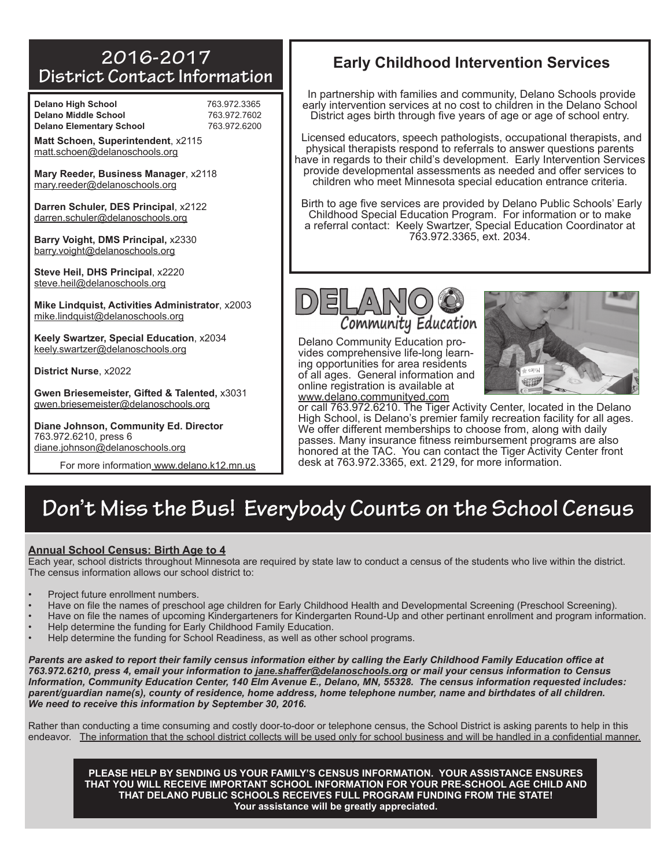#### **2016-2017 District Contact Information**

**Delano High School** 763.972.3365 **Delano Middle School** 763.972.7602 **Delano Elementary School** 763.972.6200

| <b>Delano High School</b>       |  |
|---------------------------------|--|
| <b>Delano Middle School</b>     |  |
| <b>Delano Elementary School</b> |  |

**Matt Schoen, Superintendent**, x2115 matt.schoen@delanoschools.org

**Mary Reeder, Business Manager**, x2118 mary.reeder@delanoschools.org

**Darren Schuler, DES Principal**, x2122 darren.schuler@delanoschools.org

**Barry Voight, DMS Principal,** x2330 barry.voight@delanoschools.org

**Steve Heil, DHS Principal**, x2220 steve.heil@delanoschools.org

**Mike Lindquist, Activities Administrator**, x2003 mike.lindquist@delanoschools.org

**Keely Swartzer, Special Education**, x2034 keely.swartzer@delanoschools.org

**District Nurse**, x2022

**Gwen Briesemeister, Gifted & Talented,** x3031 gwen.briesemeister@delanoschools.org

**Diane Johnson, Community Ed. Director** 763.972.6210, press 6 diane.johnson@delanoschools.org

For more information www.delano.k12.mn.us

#### **Early Childhood Intervention Services**

In partnership with families and community, Delano Schools provide early intervention services at no cost to children in the Delano School District ages birth through five years of age or age of school entry.

Licensed educators, speech pathologists, occupational therapists, and physical therapists respond to referrals to answer questions parents have in regards to their child's development. Early Intervention Services provide developmental assessments as needed and offer services to children who meet Minnesota special education entrance criteria.

Birth to age five services are provided by Delano Public Schools' Early Childhood Special Education Program. For information or to make a referral contact: Keely Swartzer, Special Education Coordinator at 763.972.3365, ext. 2034.



Delano Community Education provides comprehensive life-long learning opportunities for area residents of all ages. General information and online registration is available at www.delano.communityed.com



or call 763.972.6210. The Tiger Activity Center, located in the Delano High School, is Delano's premier family recreation facility for all ages. We offer different memberships to choose from, along with daily passes. Many insurance fitness reimbursement programs are also honored at the TAC. You can contact the Tiger Activity Center front desk at 763.972.3365, ext. 2129, for more information.

#### **Don't Miss the Bus! Everybody Counts on the School Census**

#### **Annual School Census: Birth Age to 4**

Each year, school districts throughout Minnesota are required by state law to conduct a census of the students who live within the district. The census information allows our school district to:

- Project future enrollment numbers.
- Have on file the names of preschool age children for Early Childhood Health and Developmental Screening (Preschool Screening).
- Have on file the names of upcoming Kindergarteners for Kindergarten Round-Up and other pertinant enrollment and program information.
- Help determine the funding for Early Childhood Family Education.
- Help determine the funding for School Readiness, as well as other school programs.

*Parents are asked to report their family census information either by calling the Early Childhood Family Education office at 763.972.6210, press 4, email your information to jane.shaffer@delanoschools.org or mail your census information to Census Information, Community Education Center, 140 Elm Avenue E., Delano, MN, 55328. The census information requested includes: parent/guardian name(s), county of residence, home address, home telephone number, name and birthdates of all children. We need to receive this information by September 30, 2016.*

Rather than conducting a time consuming and costly door-to-door or telephone census, the School District is asking parents to help in this endeavor. The information that the school district collects will be used only for school business and will be handled in a confidential manner.

**PLEASE HELP BY SENDING US YOUR FAMILY'S CENSUS INFORMATION. YOUR ASSISTANCE ENSURES THAT YOU WILL RECEIVE IMPORTANT SCHOOL INFORMATION FOR YOUR PRE-SCHOOL AGE CHILD AND THAT DELANO PUBLIC SCHOOLS RECEIVES FULL PROGRAM FUNDING FROM THE STATE! Your assistance will be greatly appreciated.**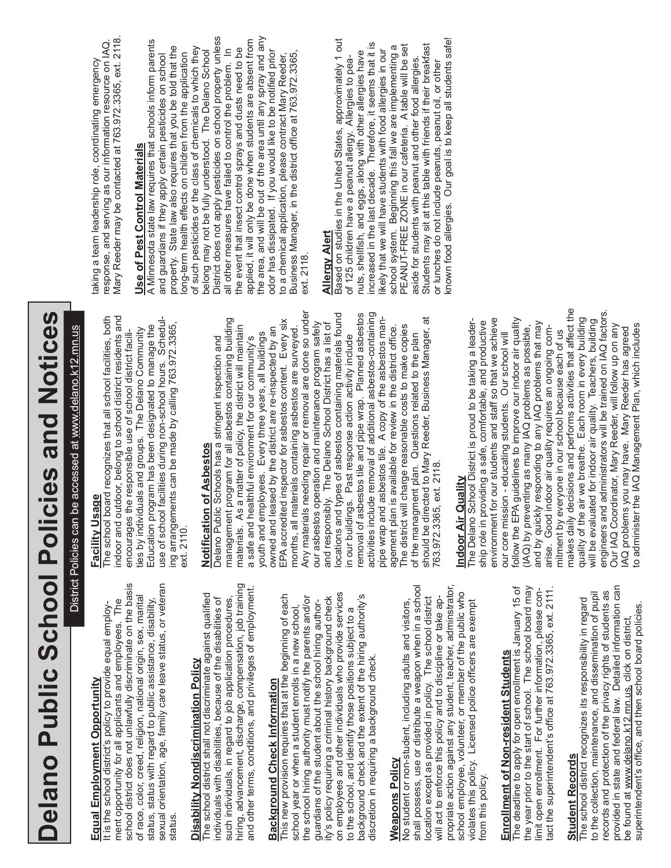# Delano Public School Policies and Notices **Delano Public School Policies and Notices**

District Policies can be accessed at www.delano.k12.mn.us District Policies can be accessed at www.delano.k12.mn.us

## Equal Employment Opportunity **Equal Employment Opportunity**

school district does not unlawfully discriminate on the basis sexual orientation, age, family care leave status, or veteran school district does not unlawfully discriminate on the basis sexual orientation, age, family care leave status, or veteran of race, color, creed, religion, national origin, sex, marital of race, color, creed, religion, national origin, sex, marital status, status with regard to public assistance, disability, ment opportunity for all applicants and employees. The ment opportunity for all applicants and employees. The status, status with regard to public assistance, disability, It is the school district's policy to provide equal employ-It is the school district's policy to provide equal employstatus.

## **Disability Nondiscrimination Policy Disability Nondiscrimination Policy**

hiring, advancement, discharge, compensation, job training hiring, advancement, discharge, compensation, job training and other terms, conditions, and privileges of employment. and other terms, conditions, and privileges of employment. The school district shall not discriminate against qualified The school district shall not discriminate against qualified such individuals, in regard to job application procedures, individuals with disabilities, because of the disabilities of such individuals, in regard to job application procedures, individuals with disabilities, because of the disabilities of

## **Background Check Information Background Check Information**

on employees and other individuals who provide services on employees and other individuals who provide services This new provision requires that at the beginning of each background check and the extent of the hiring authority's This new provision requires that at the beginning of each the school hiring authority must notify the parents and/or ity's policy requiring a criminal history background check background check and the extent of the hiring authority's the school hiring authority must notify the parents and/or ty's policy requiring a criminal history background check guardians of the student about the school hiring authorguardians of the student about the school hiring authorschool year or when a student enrolls in a new school, school year or when a student enrolls in a new school, to the school, and identify those positions subject to a to the school, and identify those positions subject to a discretion in requiring a background check. discretion in requiring a background check.

#### **Weapons Policy Weapons Policy**

shall possess, use or distribute a weapon when in a school propriate action against any student, teacher, adminstrator, shall possess, use or distribute a weapon when in a school propriate action against any student, teacher, adminstrator school employee, volunteer, or member of the public who school employee, volunteer, or member of the public who location except as provided in policy. The school district ocation except as provided in policy. The school district No student or non-student, including adults and visitors, will act to enforce this policy and to discipline or take apwill act to enforce this policy and to discipline or take ap-Vo student or non-student, including adults and visitors, violates this policy. Licensed police officers are exempt violates this policy. Licensed police officers are exempt irom this policy. from this policy.

## **Enrollment of Non-resident Students**

The deadline to apply for open enrollment is January 15 of the year prior to the start of school. The school board may Enrollment of Non-resident Students<br>The deadline to apply for open enrollment is January 15 of the year prior to the start of school. The school board may imit open enrollment. For further information, please conact the superintendent's office at 763.972.3365, ext. 2111. limit open enrollment. For further information, please contact the superintendent's office at 763.972.3365, ext. 2111.

### **Student Records Student Records**

provided in state and federal law. Detailed information can provided in state and federal law. Detailed information can records and protection of the privacy rights of students as to the collection, maintenance, and dissemination of pupil records and protection of the privacy rights of students as to the collection, maintenance, and dissemination of pupil The school district recognizes its responsibility in regard The school district recognizes its responsibility in regard superintendent's office, and then school board policies. superintendent's office, and then school board policies. be found at www.delano.k12.mn.us, click on district, be found at www.delano.k12.mn.us, click on district,

#### **Facility Usage Facility Usage**

indoor and outdoor, belong to school district residents and The school board recognizes that all school facilities, both indoor and outdoor, belong to school district residents and The school board recognizes that all school facilities, both use of school facilities during non-school hours. Scheduluse of school facilities during non-school hours. Scheduling arrangements can be made by calling 763.972.3365, Education program has been designated to manage the ing arrangements can be made by calling 763.972.3365,<br>ext. 2110. Education program has been designated to manage the ties by individuals and groups. The Delano Community ties by individuals and groups. The Delano Community encourages the responsible use of school district faciliencourages the responsible use of school district faciliext. 2110.

## **Notification of Asbestos Notification of Asbestos**

Any materials needing repair or removal are done so under locations and types of asbestos containing materials found activities include removal of additional asbestos-containing Any materials needing repair or removal are done so under locations and types of asbestos containing materials found removal of asbestos tile and pipe wrap. Planned asbestos removal of asbestos tile and pipe wrap. Planned asbestos activities include removal of additional asbestos-containing should be directed to Mary Reeder, Business Manager, at management program for all asbestos containing building pipe wrap and asbestos tile. A copy of the asbestos manmanagement program for all asbestos containing building EPA accredited inspector for asbestos content. Every six pipe wrap and asbestos tile. A copy of the asbestos manshould be directed to Mary Reeder, Business Manager, at EPA accredited inspector for asbestos content. Every six our asbestos operation and maintenance program safely and responsibly. The Delano School District has a list of and responsibly. The Delano School District has a list of our asbestos operation and maintenance program safely materials. As a matter of policy, the district will maintain months, all materials containing asbestos are surveyed. agement plan is available for review in the district office. The district will charge reasonable costs to make copies The district will charge reasonable costs to make copies materials. As a matter of policy, the district will maintain owned and leased by the district are re-inspected by an owned and leased by the district are re-inspected by an months, all materials containing asbestos are surveyed agement plan is available for review in the district office. youth and employees. Every three years, all buildings youth and employees. Every three years, all buildings of the managment plan. Questions related to the plan in our buildings. Past response action activity include in our buildings. Past response action activity include of the managment plan. Questions related to the plan Delano Public Schools has a stringent inspection and a safe and healthful environment for our community's a safe and healthful environment for our community's Delano Public Schools has a stringent inspection and 763.972.3365, ext. 2118. 763.972.3365, ext. 2118.

## **Indoor Air Quality Indoor Air Quality**

makes daily decisions and performs activities that affect the makes daily decisions and performs activities that affect the engineers and administrators will be trained on IAQ factors. engineers and administrators will be trained on IAQ factors. quality of the air we breathe. Each room in every building quality of the air we breathe. Each room in every building environment for our students and staff so that we achieve follow the EPA guidelines to improve our indoor air quality will be evaluated for indoor air quality. Teachers, building The Delano School District is proud to be taking a leadership role in providing a safe, comfortable, and productive environment for our students and staff so that we achieve follow the EPA guidelines to improve our indoor air quality and by quickly responding to any IAQ problems that may<br>arise. Good indoor air quality requires an ongoing comand by quickly responding to any IAQ problems that may will be evaluated for indoor air quality. Teachers, building The Delano School District is proud to be taking a leadership role in providing a safe, comfortable, and productive Our IAQ Coordinator, Mary Reeder, will follow up on any to administer the IAQ Management Plan, which includes (IAQ) by preventing as many IAQ problems as possible, Our IAQ Coordinator, Mary Reeder, will follow up on any to administer the IAQ Management Plan, which includes (IAQ) by preventing as many IAQ problems as possible, IAQ problems you may have. Mary Reeder has agreed arise. Good indoor air quality requires an ongoing com-AQ problems you may have. Mary Reeder has agreed mitment by everyone in our school because each of us mitment by everyone in our school because each of us our core mission - educating students. Our school will our core mission - educating students. Our school will

response, and serving as our information resource on IAQ. Mary Reeder may be contacted at 763.972.3365, ext. 2118. Mary Reeder may be contacted at 763.972.3365, ext. 2118. response, and serving as our information resource on IAQ. taking a team leadership role, coordinating emergency taking a team leadership role, coordinating emergency

## **Use of Pest Control Materials Use of Pest Control Materials**

District does not apply pesticides on school property unless the area, and will be out of the area until any spray and any District does not apply pesticides on school property unless applied, it will only be done when students are absent from the area, and will be out of the area until any spray and any A Minnesota state law requires that schools inform parents applied, it will only be done when students are absent from A Minnesota state law requires that schools inform parents property. State law also requires that you be told that the of such pesticides or the class of chemicals to which they property. State law also requires that you be told that the all other measures have failed to control the problem. In the event that insect control sprays and dusts need to be of such pesticides or the class of chemicals to which they belong may not be fully understood. The Delano School all other measures have failed to control the problem. In the event that insect control sprays and dusts need to be odor has dissipated. If you would like to be notified prior Business Manager, in the district office at 763.972.3365, odor has dissipated. If you would like to be notified prior long-term health effects on children from the application belong may not be fully understood. The Delano School to a chemical application, please contract Mary Reeder, and guardians if they apply certain pesticides on school long-term health effects on children from the application and guardians if they apply certain pesticides on school to a chemical application, please contract Mary Reeder, Business Manager, in the district office at 763.972.3365 ext. 2118. ext. 2118.

#### **Allergy Alert Allergy Alert**

Based on studies in the United States, approximately 1 out known food allergies. Our goal is to keep all students safe! Based on studies in the United States, approximately 1 out known food allergies. Our goal is to keep all students safe! nuts, shellfish, and eggs, along with other allergies have<br>increased in the last decade. Therefore, it seems that it is increased in the last decade. Therefore, it seems that it is PEANUT-FREE ZONE in our cafeteria. A table will be set Students may sit at this table with friends if their breakfast school system. Beginning this fall we are implementing a<br>PEANUT-FREE ZONE in our cafeteria. A table will be set school system. Beginning this fall we are implementing a Students may sit at this table with friends if their breakfast likely that we will have students with food allergies in our nuts, shellfish, and eggs, along with other allergies have likely that we will have students with food allergies in our aside for students with peanut and other food allergies. of 125 children have a peanut allergy. Allergies to peaof 125 children have a peanut allergy. Allergies to peaaside for students with peanut and other food allergies. or lunches do not include peanuts, peanut oil, or other or lunches do not include peanuts, peanut oil, or other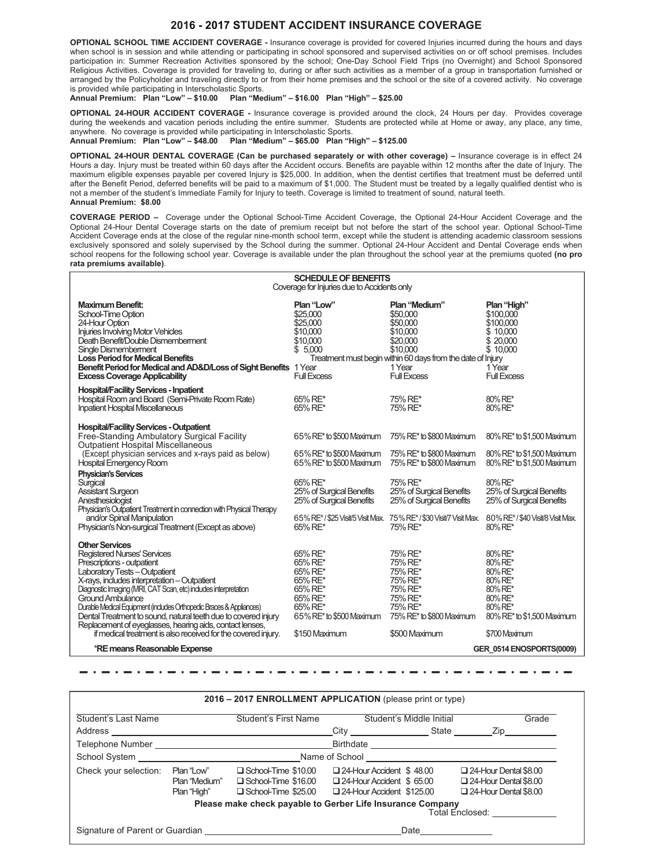#### **2016 2017 STUDENT ACCIDENT INSURANCE COVERAGE**

**OPTIONAL SCHOOL TIME ACCIDENT COVERAGE -** Insurance coverage is provided for covered Injuries incurred during the hours and days when school is in session and while attending or participating in school sponsored and supervised activities on or off school premises. Includes participation in: Summer Recreation Activities sponsored by the school; One-Day School Field Trips (no Overnight) and School Sponsored Religious Activities. Coverage is provided for traveling to, during or after such activities as a member of a group in transportation furnished or arranged by the Policyholder and traveling directly to or from their home premises and the school or the site of a covered activity. No coverage is provided while participating in Interscholastic Sports.<br>Annual Premium: Plan "Low" - \$10.00 Plan "Me

#### **Annual Premium: Plan "Low" – \$10.00 Plan "Medium" – \$16.00 Plan "High" – \$25.00**

**OPTIONAL 24-HOUR ACCIDENT COVERAGE -** Insurance coverage is provided around the clock, 24 Hours per day. Provides coverage during the weekends and vacation periods including the entire summer. Students are protected while at Home or away, any place, any time, anywhere. No coverage is provided while participating in Interscholastic Sports.

**Annual Premium: Plan "Low" – \$48.00 Plan "Medium" – \$65.00 Plan "High" – \$125.00**

**OPTIONAL 24-HOUR DENTAL COVERAGE (Can be purchased separately or with other coverage) –** Insurance coverage is in effect 24 Hours a day. Injury must be treated within 60 days after the Accident occurs. Benefits are payable within 12 months after the date of Injury. The maximum eligible expenses payable per covered Injury is \$25,000. In addition, when the dentist certifies that treatment must be deferred until after the Benefit Period, deferred benefits will be paid to a maximum of \$1,000. The Student must be treated by a legally qualified dentist who is not a member of the student's Immediate Family for Injury to teeth. Coverage is limited to treatment of sound, natural teeth. **Annual Premium: \$8.00**

**COVERAGE PERIOD –** Coverage under the Optional School-Time Accident Coverage, the Optional 24-Hour Accident Coverage and the Optional 24-Hour Dental Coverage starts on the date of premium receipt but not before the start of the school year. Optional School-Time Accident Coverage ends at the close of the regular nine-month school term, except while the student is attending academic classroom sessions exclusively sponsored and solely supervised by the School during the summer. Optional 24-Hour Accident and Dental Coverage ends when school reopens for the following school year. Coverage is available under the plan throughout the school year at the premiums quoted **(no pro rata premiums available)**.

|                                                                                                                                                                                                                                                                                                                                                                                                                                                                                                                                                | <b>SCHEDULE OF BENEFITS</b><br>Coverage for Injuries due to Accidents only                                                                                     |                                                                                                                                                                          |                                                                                                                                                                                                                                                                         |
|------------------------------------------------------------------------------------------------------------------------------------------------------------------------------------------------------------------------------------------------------------------------------------------------------------------------------------------------------------------------------------------------------------------------------------------------------------------------------------------------------------------------------------------------|----------------------------------------------------------------------------------------------------------------------------------------------------------------|--------------------------------------------------------------------------------------------------------------------------------------------------------------------------|-------------------------------------------------------------------------------------------------------------------------------------------------------------------------------------------------------------------------------------------------------------------------|
| <b>Maximum Benefit:</b><br>School-Time Option<br>24-Hour Option<br><b>Injuries Involving Motor Vehicles</b><br>Death Benefit/Double Dismemberment<br>Single Dismemberment<br><b>Loss Period for Medical Benefits</b><br>Benefit Period for Medical and AD&D/Loss of Sight Benefits 1 Year<br><b>Excess Coverage Applicability</b>                                                                                                                                                                                                              | Plan "Low"<br>\$25,000<br>\$25,000<br>\$10,000<br>\$10,000<br>\$5,000<br><b>Full Excess</b>                                                                    | Plan "Medium"<br>\$50,000<br>\$50,000<br>\$10,000<br>\$20,000<br>\$10,000<br>Treatment must begin within 60 days from the date of Injury<br>1 Year<br><b>Full Excess</b> | Plan "High"<br>\$100,000<br>\$100,000<br>\$10,000<br>\$ 20,000<br>\$10,000<br>1 Year<br><b>Full Excess</b>                                                                                                                                                              |
| <b>Hospital/Facility Services - Inpatient</b><br>Hospital Room and Board (Semi-Private Room Rate)<br><b>Inpatient Hospital Miscellaneous</b>                                                                                                                                                                                                                                                                                                                                                                                                   | 65% RE*<br>65% RE*                                                                                                                                             | 75% RE*<br>75% RE*                                                                                                                                                       | 80% RE*<br>80% RE*                                                                                                                                                                                                                                                      |
| <b>Hospital/Facility Services - Outpatient</b><br>Free-Standing Ambulatory Surgical Facility<br>Outpatient Hospital Miscellaneous<br>(Except physician services and x-rays paid as below)<br><b>Hospital Emergency Room</b><br><b>Physician's Services</b><br>Surgical<br><b>Assistant Surgeon</b><br>Anesthesiologist<br>Physician's Outpatient Treatment in connection with Physical Therapy<br>and/or Spinal Manipulation<br>Physician's Non-surgical Treatment (Except as above)                                                           | 65% RE* to \$500 Maximum<br>65% RE* to \$500 Maximum<br>65% RE* to \$500 Maximum<br>65% RE*<br>25% of Surgical Benefits<br>25% of Surgical Benefits<br>65% RE* | 75% RE* to \$800 Maximum<br>75% RE* to \$800 Maximum<br>75% RE* to \$800 Maximum<br>75% RE*<br>25% of Surgical Benefits<br>25% of Surgical Benefits<br>75% RE*           | 80% RE* to \$1,500 Maximum<br>80% RE* to \$1,500 Maximum<br>80% RE* to \$1,500 Maximum<br>80% RE*<br>25% of Surgical Benefits<br>25% of Surgical Benefits<br>65% RE*/\$25 Visit/5 Visit Max. 75% RE*/\$30 Visit/7 Visit Max. 80% RE*/\$40 Visit/8 Visit Max.<br>80% RE* |
| <b>Other Services</b><br><b>Registered Nurses' Services</b><br>Prescriptions - outpatient<br>Laboratory Tests - Outpatient<br>X-rays, includes interpretation - Outpatient<br>Diagnostic Imaging (MRI, CAT Scan, etc) includes interpretation<br><b>Ground Ambulance</b><br>Durable Medical Equipment (includes Orthopedic Braces & Appliances)<br>Dental Treatment to sound, natural teeth due to covered injury<br>Replacement of eyeglasses, hearing aids, contact lenses,<br>if medical treatment is also received for the covered injury. | 65% RE*<br>65% RE*<br>65% RE*<br>65% RE*<br>65% RE*<br>65% RE*<br>65% RE*<br>65% RE* to \$500 Maximum<br>\$150 Maximum                                         | 75% RE*<br>75% RE*<br>75% RE*<br>75% RE*<br>75% RE*<br>75% RE*<br>75% RE*<br>75% RE* to \$800 Maximum<br>\$500 Maximum                                                   | 80% RE*<br>80% RE*<br>80% RE*<br>80% RE*<br>80% RE*<br>80% RE*<br>80% RE*<br>80% RE* to \$1,500 Maximum<br>\$700 Maximum                                                                                                                                                |
| *RE means Reasonable Expense                                                                                                                                                                                                                                                                                                                                                                                                                                                                                                                   |                                                                                                                                                                |                                                                                                                                                                          | GER 0514 ENOSPORTS(0009)                                                                                                                                                                                                                                                |

| City State<br>Name of School and the state of School and the state of School                    | Zip                                                                                          |
|-------------------------------------------------------------------------------------------------|----------------------------------------------------------------------------------------------|
|                                                                                                 |                                                                                              |
|                                                                                                 |                                                                                              |
|                                                                                                 |                                                                                              |
| $\Box$ 24-Hour Accident \$48.00<br>$\Box$ 24-Hour Accident \$65.00<br>24-Hour Accident \$125.00 | $\Box$ 24-Hour Dental \$8.00<br>$\Box$ 24-Hour Dental \$8.00<br>$\Box$ 24-Hour Dental \$8.00 |
| Please make check payable to Gerber Life Insurance Company                                      | Total Enclosed:                                                                              |
|                                                                                                 | Date                                                                                         |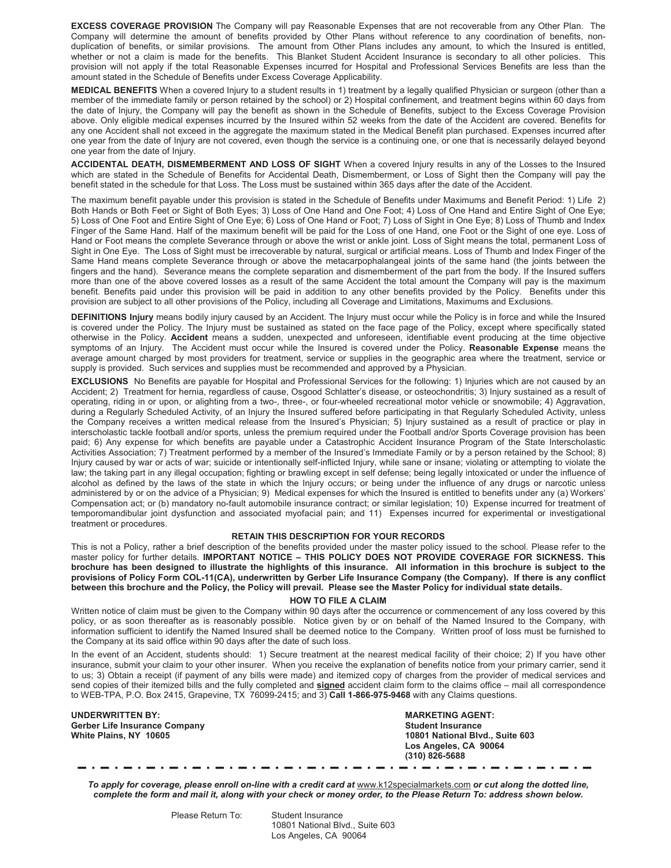**EXCESS COVERAGE PROVISION** The Company will pay Reasonable Expenses that are not recoverable from any Other Plan. The Company will determine the amount of benefits provided by Other Plans without reference to any coordination of benefits, nonduplication of benefits, or similar provisions. The amount from Other Plans includes any amount, to which the Insured is entitled, whether or not a claim is made for the benefits. This Blanket Student Accident Insurance is secondary to all other policies. This provision will not apply if the total Reasonable Expenses incurred for Hospital and Professional Services Benefits are less than the amount stated in the Schedule of Benefits under Excess Coverage Applicability.

**MEDICAL BENEFITS** When a covered Injury to a student results in 1) treatment by a legally qualified Physician or surgeon (other than a member of the immediate family or person retained by the school) or 2) Hospital confinement, and treatment begins within 60 days from the date of Injury, the Company will pay the benefit as shown in the Schedule of Benefits, subject to the Excess Coverage Provision above. Only eligible medical expenses incurred by the Insured within 52 weeks from the date of the Accident are covered. Benefits for any one Accident shall not exceed in the aggregate the maximum stated in the Medical Benefit plan purchased. Expenses incurred after one year from the date of Injury are not covered, even though the service is a continuing one, or one that is necessarily delayed beyond one year from the date of Injury.

**ACCIDENTAL DEATH, DISMEMBERMENT AND LOSS OF SIGHT** When a covered Injury results in any of the Losses to the Insured which are stated in the Schedule of Benefits for Accidental Death, Dismemberment, or Loss of Sight then the Company will pay the benefit stated in the schedule for that Loss. The Loss must be sustained within 365 days after the date of the Accident.

The maximum benefit payable under this provision is stated in the Schedule of Benefits under Maximums and Benefit Period: 1) Life 2) Both Hands or Both Feet or Sight of Both Eyes; 3) Loss of One Hand and One Foot; 4) Loss of One Hand and Entire Sight of One Eye; 5) Loss of One Foot and Entire Sight of One Eye; 6) Loss of One Hand or Foot; 7) Loss of Sight in One Eye; 8) Loss of Thumb and Index Finger of the Same Hand. Half of the maximum benefit will be paid for the Loss of one Hand, one Foot or the Sight of one eye. Loss of Hand or Foot means the complete Severance through or above the wrist or ankle joint. Loss of Sight means the total, permanent Loss of Sight in One Eye. The Loss of Sight must be irrecoverable by natural, surgical or artificial means. Loss of Thumb and Index Finger of the Same Hand means complete Severance through or above the metacarpophalangeal joints of the same hand (the joints between the fingers and the hand). Severance means the complete separation and dismemberment of the part from the body. If the Insured suffers more than one of the above covered losses as a result of the same Accident the total amount the Company will pay is the maximum benefit. Benefits paid under this provision will be paid in addition to any other benefits provided by the Policy. Benefits under this provision are subject to all other provisions of the Policy, including all Coverage and Limitations, Maximums and Exclusions.

**DEFINITIONS Injury** means bodily injury caused by an Accident. The Injury must occur while the Policy is in force and while the Insured is covered under the Policy. The Injury must be sustained as stated on the face page of the Policy, except where specifically stated otherwise in the Policy. **Accident** means a sudden, unexpected and unforeseen, identifiable event producing at the time objective symptoms of an Injury. The Accident must occur while the Insured is covered under the Policy. **Reasonable Expense** means the average amount charged by most providers for treatment, service or supplies in the geographic area where the treatment, service or supply is provided. Such services and supplies must be recommended and approved by a Physician.

**EXCLUSIONS** No Benefits are payable for Hospital and Professional Services for the following: 1) Injuries which are not caused by an Accident; 2) Treatment for hernia, regardless of cause, Osgood Schlatter's disease, or osteochondritis; 3) Injury sustained as a result of operating, riding in or upon, or alighting from a two-, three-, or four-wheeled recreational motor vehicle or snowmobile; 4) Aggravation, during a Regularly Scheduled Activity, of an Injury the Insured suffered before participating in that Regularly Scheduled Activity, unless the Company receives a written medical release from the Insured's Physician; 5) Injury sustained as a result of practice or play in interscholastic tackle football and/or sports, unless the premium required under the Football and/or Sports Coverage provision has been paid; 6) Any expense for which benefits are payable under a Catastrophic Accident Insurance Program of the State Interscholastic Activities Association; 7) Treatment performed by a member of the Insured's Immediate Family or by a person retained by the School; 8) Injury caused by war or acts of war; suicide or intentionally self-inflicted Injury, while sane or insane; violating or attempting to violate the law; the taking part in any illegal occupation; fighting or brawling except in self defense; being legally intoxicated or under the influence of alcohol as defined by the laws of the state in which the Injury occurs; or being under the influence of any drugs or narcotic unless administered by or on the advice of a Physician; 9) Medical expenses for which the Insured is entitled to benefits under any (a) Workers' Compensation act; or (b) mandatory no-fault automobile insurance contract; or similar legislation; 10) Expense incurred for treatment of temporomandibular joint dysfunction and associated myofacial pain; and 11) Expenses incurred for experimental or investigational treatment or procedures.

#### **RETAIN THIS DESCRIPTION FOR YOUR RECORDS**

This is not a Policy, rather a brief description of the benefits provided under the master policy issued to the school. Please refer to the master policy for further details. **IMPORTANT NOTICE – THIS POLICY DOES NOT PROVIDE COVERAGE FOR SICKNESS. This brochure has been designed to illustrate the highlights of this insurance. All information in this brochure is subject to the provisions of Policy Form COL-11(CA), underwritten by Gerber Life Insurance Company (the Company). If there is any conflict between this brochure and the Policy, the Policy will prevail. Please see the Master Policy for individual state details.**

#### **HOW TO FILE A CLAIM**

Written notice of claim must be given to the Company within 90 days after the occurrence or commencement of any loss covered by this policy, or as soon thereafter as is reasonably possible. Notice given by or on behalf of the Named Insured to the Company, with information sufficient to identify the Named Insured shall be deemed notice to the Company. Written proof of loss must be furnished to the Company at its said office within 90 days after the date of such loss.

In the event of an Accident, students should: 1) Secure treatment at the nearest medical facility of their choice; 2) If you have other insurance, submit your claim to your other insurer. When you receive the explanation of benefits notice from your primary carrier, send it to us; 3) Obtain a receipt (if payment of any bills were made) and itemized copy of charges from the provider of medical services and send copies of their itemized bills and the fully completed and **signed** accident claim form to the claims office – mail all correspondence to WEB-TPA, P.O. Box 2415, Grapevine, TX 76099-2415; and 3) **Call 1-866-975-9468** with any Claims questions.

**UNDERWRITTEN BY: MARKETING AGENT: Gerber Life Insurance Company White Plains, NY 10605** 

**White Plains, NY 10605 10801 National Blvd., Suite 603 Los Angeles, CA 90064 (310) 826-5688**

*To apply for coverage, please enroll on-line with a credit card at* www.k12specialmarkets.com *or cut along the dotted line, complete the form and mail it, along with your check or money order, to the Please Return To: address shown below.*

Please Return To: Student Insurance

10801 National Blvd., Suite 603 Los Angeles, CA 90064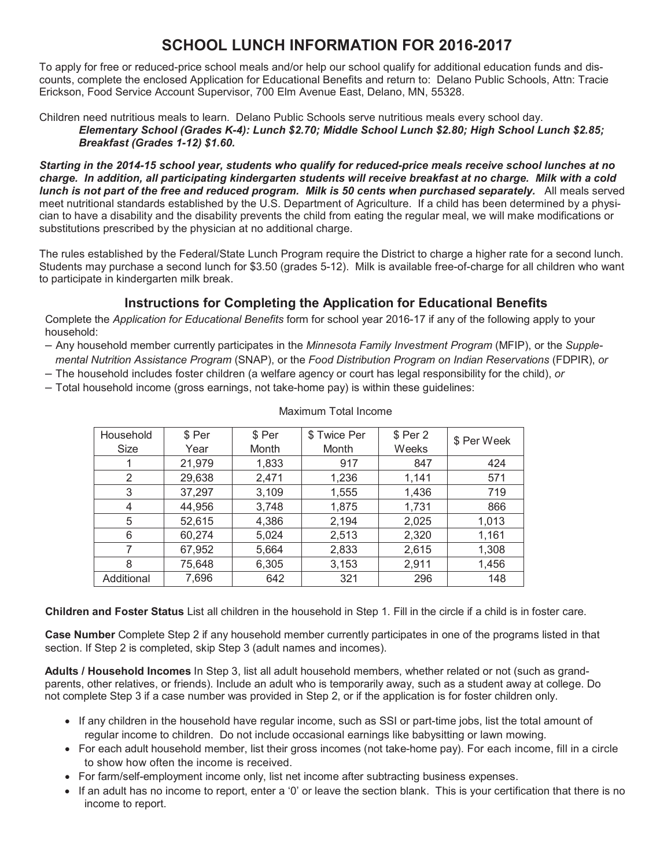#### **SCHOOL LUNCH INFORMATION FOR 2016-2017**

To apply for free or reduced-price school meals and/or help our school qualify for additional education funds and discounts, complete the enclosed Application for Educational Benefits and return to: Delano Public Schools, Attn: Tracie Erickson, Food Service Account Supervisor, 700 Elm Avenue East, Delano, MN, 55328.

Children need nutritious meals to learn. Delano Public Schools serve nutritious meals every school day. *Elementary School (Grades K-4): Lunch \$2.70; Middle School Lunch \$2.80; High School Lunch \$2.85; Breakfast (Grades 1-12) \$1.60.*

*Starting in the 2014-15 school year, students who qualify for reduced-price meals receive school lunches at no charge. In addition, all participating kindergarten students will receive breakfast at no charge. Milk with a cold lunch is not part of the free and reduced program. Milk is 50 cents when purchased separately.* All meals served meet nutritional standards established by the U.S. Department of Agriculture. If a child has been determined by a physician to have a disability and the disability prevents the child from eating the regular meal, we will make modifications or substitutions prescribed by the physician at no additional charge.

The rules established by the Federal/State Lunch Program require the District to charge a higher rate for a second lunch. Students may purchase a second lunch for \$3.50 (grades 5-12). Milk is available free-of-charge for all children who want to participate in kindergarten milk break.

#### **Instructions for Completing the Application for Educational Benefits**

Complete the *Application for Educational Benefits* form for school year 2016-17 if any of the following apply to your household:

- Any household member currently participates in the *Minnesota Family Investment Program* (MFIP), or the *Supplemental Nutrition Assistance Program* (SNAP), or the *Food Distribution Program on Indian Reservations* (FDPIR), *or*
- The household includes foster children (a welfare agency or court has legal responsibility for the child), *or*
- Total household income (gross earnings, not take-home pay) is within these guidelines:

| Household  | \$ Per | \$ Per | \$ Twice Per | \$ Per 2 | \$ Per Week |
|------------|--------|--------|--------------|----------|-------------|
| Size       | Year   | Month  | Month        | Weeks    |             |
|            | 21,979 | 1,833  | 917          | 847      | 424         |
| 2          | 29,638 | 2,471  | 1,236        | 1,141    | 571         |
| 3          | 37,297 | 3,109  | 1,555        | 1,436    | 719         |
| 4          | 44,956 | 3,748  | 1,875        | 1,731    | 866         |
| 5          | 52,615 | 4,386  | 2,194        | 2,025    | 1,013       |
| 6          | 60,274 | 5,024  | 2,513        | 2,320    | 1,161       |
| 7          | 67,952 | 5,664  | 2,833        | 2,615    | 1,308       |
| 8          | 75,648 | 6,305  | 3,153        | 2,911    | 1,456       |
| Additional | 7,696  | 642    | 321          | 296      | 148         |

Maximum Total Income

**Children and Foster Status** List all children in the household in Step 1. Fill in the circle if a child is in foster care.

**Case Number** Complete Step 2 if any household member currently participates in one of the programs listed in that section. If Step 2 is completed, skip Step 3 (adult names and incomes).

**Adults / Household Incomes** In Step 3, list all adult household members, whether related or not (such as grandparents, other relatives, or friends). Include an adult who is temporarily away, such as a student away at college. Do not complete Step 3 if a case number was provided in Step 2, or if the application is for foster children only.

- If any children in the household have regular income, such as SSI or part-time jobs, list the total amount of regular income to children. Do not include occasional earnings like babysitting or lawn mowing.
- For each adult household member, list their gross incomes (not take-home pay). For each income, fill in a circle to show how often the income is received.
- For farm/self-employment income only, list net income after subtracting business expenses.
- If an adult has no income to report, enter a '0' or leave the section blank. This is your certification that there is no income to report.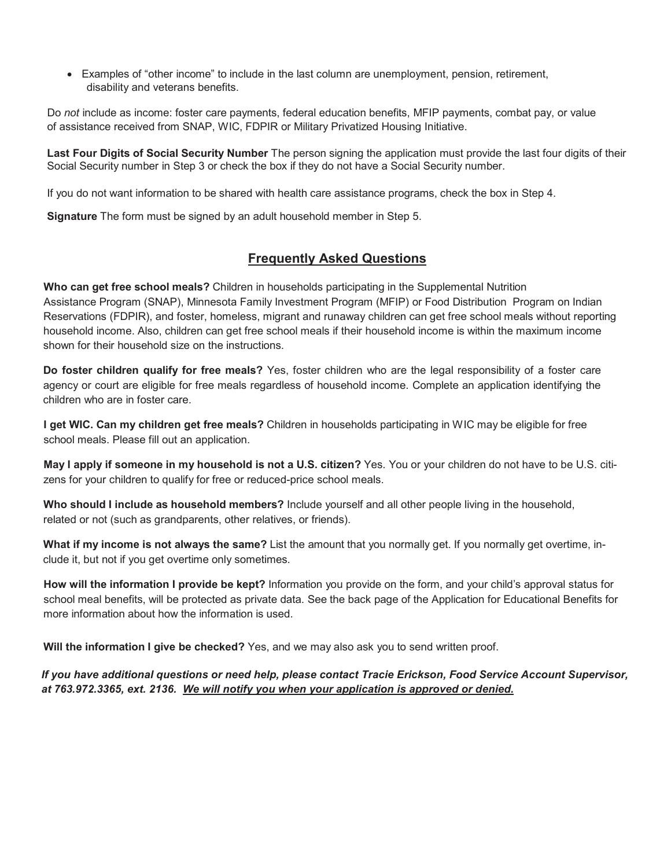• Examples of "other income" to include in the last column are unemployment, pension, retirement, disability and veterans benefits.

Do *not* include as income: foster care payments, federal education benefits, MFIP payments, combat pay, or value of assistance received from SNAP, WIC, FDPIR or Military Privatized Housing Initiative.

**Last Four Digits of Social Security Number** The person signing the application must provide the last four digits of their Social Security number in Step 3 or check the box if they do not have a Social Security number.

If you do not want information to be shared with health care assistance programs, check the box in Step 4.

**Signature** The form must be signed by an adult household member in Step 5.

#### **Frequently Asked Questions**

**Who can get free school meals?** Children in households participating in the Supplemental Nutrition Assistance Program (SNAP), Minnesota Family Investment Program (MFIP) or Food Distribution Program on Indian Reservations (FDPIR), and foster, homeless, migrant and runaway children can get free school meals without reporting household income. Also, children can get free school meals if their household income is within the maximum income shown for their household size on the instructions.

**Do foster children qualify for free meals?** Yes, foster children who are the legal responsibility of a foster care agency or court are eligible for free meals regardless of household income. Complete an application identifying the children who are in foster care.

**I get WIC. Can my children get free meals?** Children in households participating in WIC may be eligible for free school meals. Please fill out an application.

**May I apply if someone in my household is not a U.S. citizen?** Yes. You or your children do not have to be U.S. citizens for your children to qualify for free or reduced-price school meals.

**Who should I include as household members?** Include yourself and all other people living in the household, related or not (such as grandparents, other relatives, or friends).

**What if my income is not always the same?** List the amount that you normally get. If you normally get overtime, include it, but not if you get overtime only sometimes.

**How will the information I provide be kept?** Information you provide on the form, and your child's approval status for school meal benefits, will be protected as private data. See the back page of the Application for Educational Benefits for more information about how the information is used.

**Will the information I give be checked?** Yes, and we may also ask you to send written proof.

*If you have additional questions or need help, please contact Tracie Erickson, Food Service Account Supervisor, at 763.972.3365, ext. 2136. We will notify you when your application is approved or denied.*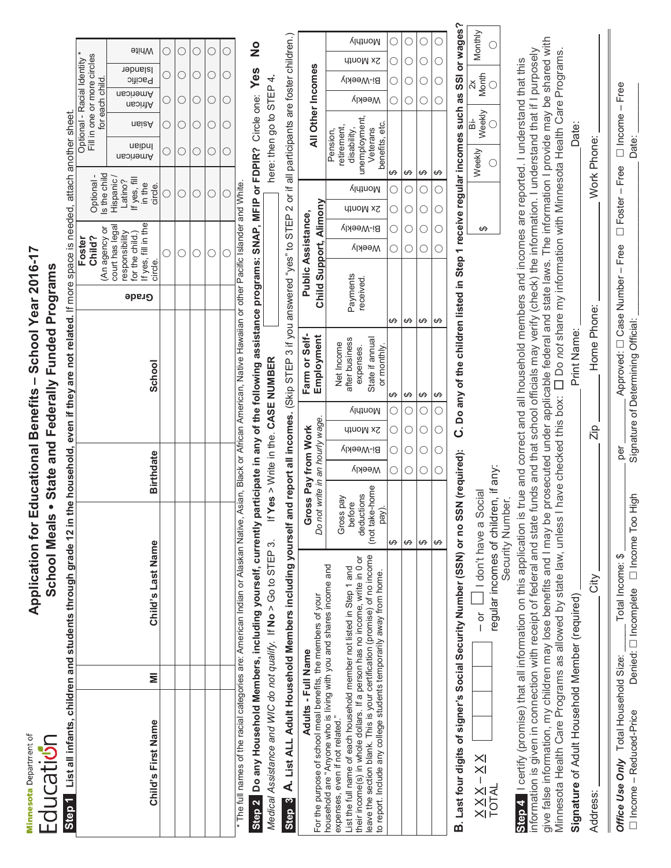**Minnesota** Department of Educati**on** 

## Application for Educational Benefits - School Year 2016-17 **Application for Educational Benefits – School Year 2016-17** School Meals . State and Federally Funded Programs **School Meals State and Federally Funded Programs**

|                                                                                                          |                              |                             | <b>Mhite</b>                                                                          |       |      |                                                                   |
|----------------------------------------------------------------------------------------------------------|------------------------------|-----------------------------|---------------------------------------------------------------------------------------|-------|------|-------------------------------------------------------------------|
|                                                                                                          | Optional - Racial Identity * | Fill in one or more circles | Islander<br>Pacific                                                                   | CCCCC | CCCC |                                                                   |
|                                                                                                          |                              | for each child.             | ∩neoinemA<br>African                                                                  |       |      |                                                                   |
|                                                                                                          |                              |                             | ∩siaA                                                                                 |       |      |                                                                   |
|                                                                                                          |                              |                             | ueibnl<br>American                                                                    |       |      | $\begin{matrix} 0 & 0 & 0 \\ 0 & 0 & 0 \\ 0 & 0 & 0 \end{matrix}$ |
|                                                                                                          |                              | Optional -<br>Is the child  | f yes, fill<br>Hispanic<br>Latino?<br>in the<br>circle.                               |       |      |                                                                   |
|                                                                                                          | Foster                       | (An agency or<br>Child?     | court has legal<br>If yes, fill in the<br>esponsibility<br>for the child.)<br>circle. |       |      |                                                                   |
|                                                                                                          |                              |                             | Grade                                                                                 |       |      |                                                                   |
| <b>12 in the household, even if they are not related.</b> If more space is needed, attach another sheet. |                              |                             | <b>School</b>                                                                         |       |      |                                                                   |
|                                                                                                          |                              |                             | <b>Birthdate</b>                                                                      |       |      |                                                                   |
| Step 1 List all infants, children and students through grade                                             |                              |                             | Child's Last Name                                                                     |       |      |                                                                   |
|                                                                                                          |                              |                             |                                                                                       |       |      |                                                                   |
|                                                                                                          |                              |                             | Child's First Name                                                                    |       |      |                                                                   |
|                                                                                                          |                              |                             |                                                                                       |       |      |                                                                   |

The full names of the racial categories are: American Indian or Alaskan Native, Asian, Black or African American, Native Hawaiian or other Pacific Islander and White. The full names of the racial categories are: American Indian or Alaskan Native, Asian, Black or African American, Native Hawaiian or other Pacific Islander and White.

 $\bigcirc$ 

 $\bigcirc$ 

O O O O O O O O O O

 $\bigcirc$  $\bigcirc$ 

 $\bigcirc$  $\bigcirc$ 

O O O O O O O O O

 $\bigcirc$  $\bigcirc$ 

here: then go to STEP 4.

 $\bigcirc$  $\bigcirc$ 

 $\bigcirc$  $\bigcirc$ 

 $\bigcirc$  $\bigcirc$ 

 $\frac{1}{2}$ **Step 22 Do any Household Members, including yourself, currently participate in any of the following assistance programs: SNAP, MFIP or FDPIR?** Circle one: **Yes No** Step 2 Do any Household Members, including yourself, currently participate in any of the following assistance programs: SNAP, MFIP or FDPIR? Circle one: Yes

*Medical Assistance and WIC do not qualify.* If **No** > Go to STEP 3. If **Yes** > Write in the. **CASE NUMBER** here: then go to STEP 4**.** If Yes > Write in the. CASE NUMBER Medical Assistance and WIC do not qualify. If No > Go to STEP 3.

| If and report all incomes. (Skip STEP 3 if you answered "yes" to STEP 2 or if all participants are foster children.) | ֚֚֚֬                |
|----------------------------------------------------------------------------------------------------------------------|---------------------|
|                                                                                                                      |                     |
|                                                                                                                      | Farm or Self-       |
|                                                                                                                      | Gross Pay from Work |
|                                                                                                                      |                     |
|                                                                                                                      |                     |

B. Last four digits of signer's Social Security Number (SSN) or no SSN (required): C. Do any of the children listed in Step 1 receive regular incomes such as SSI or wages? **B. Last four digits of signer's Social Security Number (SSN) or no SSN (required): C. Do any of the children listed in Step 1 receive regular incomes such as SSI or wages?**

| €<br>Ą                                |                             |  |
|---------------------------------------|-----------------------------|--|
| ocial<br>j                            | ֧֞׆<br>֧<br>:<br>גראה<br>גר |  |
| ŏ<br>I                                | in John                     |  |
| $\times$ l                            |                             |  |
| $\times$<br>I<br>NALE<br>NALE<br>NALE | 1                           |  |

| Monthiv                  |  |
|--------------------------|--|
| Month                    |  |
| Weekly<br>$\frac{1}{10}$ |  |
| Weekly                   |  |
| ഗ                        |  |

give false information, my children may lose benefits and I may be prosecuted under applicable federal and state laws. The information I provide may be shared with give false information, my children may lose benefits and I may be prosecuted under applicable federal and state laws. The information I provide may be shared with information is given in connection with receipt of federal and state funds and that school officials may verify (check) the information. I understand that if I purposely nformation is given in connection with receipt of federal and state funds and that school officials may verify (check) the information. I understand that if I purposely Minnesota Health Care Programs as allowed by state law, unless I have checked this box: [ ] Do not share my information with Minnesota Health Care Programs. Minnesota Health Care Programs as allowed by state law, unless I have checked this box: Do *not* share my information with Minnesota Health Care Programs. Step 4 | certify (promise) that all information on this application is true and correct and all household members and incomes are reported. I understand that this Step 4 | certify (promise) that all information on this application is true and correct and all household members and incomes are reported. I understand that this **Signature** of Adult Household Member (required) Print Name: Date: Date: Print Name: Signature of Adult Household Member (required)

| Address:                                                        |                                                            |           | Home Phone:                        | Work Phone: |
|-----------------------------------------------------------------|------------------------------------------------------------|-----------|------------------------------------|-------------|
| Office Use Only Total Household Size:<br>Income - Reduced-Price | Denied: □ Incomplete □ Income Too High<br>Total Income: \$ | ner<br>De | Signature of Determining Official: | Date:       |

 $\mathbf{I}$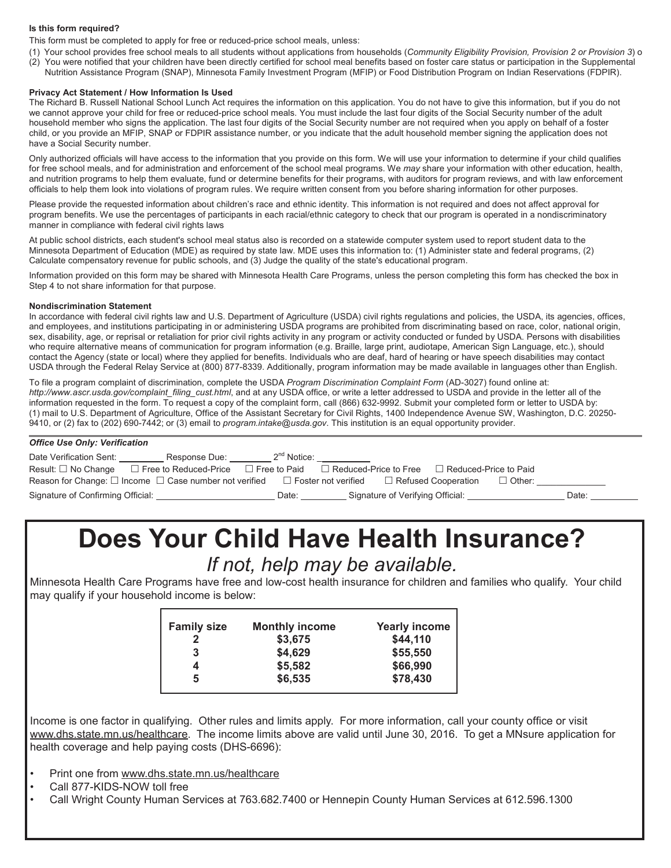#### **Is this form required?**

This form must be completed to apply for free or reduced-price school meals, unless:

- (1) Your school provides free school meals to all students without applications from households (*Community Eligibility Provision, Provision 2 or Provision 3*) or
- (2) You were notified that your children have been directly certified for school meal benefits based on foster care status or participation in the Supplemental Nutrition Assistance Program (SNAP), Minnesota Family Investment Program (MFIP) or Food Distribution Program on Indian Reservations (FDPIR).

#### **Privacy Act Statement / How Information Is Used**

The Richard B. Russell National School Lunch Act requires the information on this application. You do not have to give this information, but if you do not we cannot approve your child for free or reduced-price school meals. You must include the last four digits of the Social Security number of the adult household member who signs the application. The last four digits of the Social Security number are not required when you apply on behalf of a foster child, or you provide an MFIP, SNAP or FDPIR assistance number, or you indicate that the adult household member signing the application does not have a Social Security number.

Only authorized officials will have access to the information that you provide on this form. We will use your information to determine if your child qualifies for free school meals, and for administration and enforcement of the school meal programs. We *may* share your information with other education, health, and nutrition programs to help them evaluate, fund or determine benefits for their programs, with auditors for program reviews, and with law enforcement officials to help them look into violations of program rules. We require written consent from you before sharing information for other purposes.

Please provide the requested information about children's race and ethnic identity. This information is not required and does not affect approval for program benefits. We use the percentages of participants in each racial/ethnic category to check that our program is operated in a nondiscriminatory manner in compliance with federal civil rights laws

At public school districts, each student's school meal status also is recorded on a statewide computer system used to report student data to the Minnesota Department of Education (MDE) as required by state law. MDE uses this information to: (1) Administer state and federal programs, (2) Calculate compensatory revenue for public schools, and (3) Judge the quality of the state's educational program.

Information provided on this form may be shared with Minnesota Health Care Programs, unless the person completing this form has checked the box in Step 4 to not share information for that purpose.

#### **Nondiscrimination Statement**

In accordance with federal civil rights law and U.S. Department of Agriculture (USDA) civil rights regulations and policies, the USDA, its agencies, offices, and employees, and institutions participating in or administering USDA programs are prohibited from discriminating based on race, color, national origin, sex, disability, age, or reprisal or retaliation for prior civil rights activity in any program or activity conducted or funded by USDA. Persons with disabilities who require alternative means of communication for program information (e.g. Braille, large print, audiotape, American Sign Language, etc.), should contact the Agency (state or local) where they applied for benefits. Individuals who are deaf, hard of hearing or have speech disabilities may contact USDA through the Federal Relay Service at (800) 877-8339. Additionally, program information may be made available in languages other than English.

To file a program complaint of discrimination, complete the USDA *Program Discrimination Complaint Form* (AD-3027) found online at: *http://www.ascr.usda.gov/complaint\_filing\_cust.html*, and at any USDA office, or write a letter addressed to USDA and provide in the letter all of the information requested in the form. To request a copy of the complaint form, call (866) 632-9992. Submit your completed form or letter to USDA by: (1) mail to U.S. Department of Agriculture, Office of the Assistant Secretary for Civil Rights, 1400 Independence Avenue SW, Washington, D.C. 20250- 9410, or (2) fax to (202) 690-7442; or (3) email to *program.intake@usda.gov*. This institution is an equal opportunity provider.

| Date Verification Sent:                                                | Response Due:                | $2^{nq}$ Notice:    |                              |                                  |                         |       |  |
|------------------------------------------------------------------------|------------------------------|---------------------|------------------------------|----------------------------------|-------------------------|-------|--|
| Result: $\square$ No Change                                            | $\Box$ Free to Reduced-Price | $\Box$ Free to Paid | $\Box$ Reduced-Price to Free |                                  | □ Reduced-Price to Paid |       |  |
| Reason for Change: $\square$ Income $\square$ Case number not verified |                              |                     | $\Box$ Foster not verified   | $\Box$ Refused Cooperation       | $\Box$ Other:           |       |  |
| Signature of Confirming Official:                                      |                              | Date:               |                              | Signature of Verifying Official: |                         | Date: |  |

#### **Does Your Child Have Health Insurance?** *If not, help may be available.*

Minnesota Health Care Programs have free and low-cost health insurance for children and families who qualify. Your child may qualify if your household income is below:

| <b>Family size</b> | <b>Monthly income</b> | <b>Yearly income</b> |
|--------------------|-----------------------|----------------------|
| $\mathbf{2}$       | \$3,675               | \$44,110             |
| 3                  | \$4,629               | \$55,550             |
| 4                  | \$5,582               | \$66,990             |
| 5                  | \$6,535               | \$78,430             |
|                    |                       |                      |

Income is one factor in qualifying. Other rules and limits apply. For more information, call your county office or visit www.dhs.state.mn.us/healthcare. The income limits above are valid until June 30, 2016. To get a MNsure application for health coverage and help paying costs (DHS-6696):

- Print one from www.dhs.state.mn.us/healthcare
- Call 877-KIDS-NOW toll free
- Call Wright County Human Services at 763.682.7400 or Hennepin County Human Services at 612.596.1300